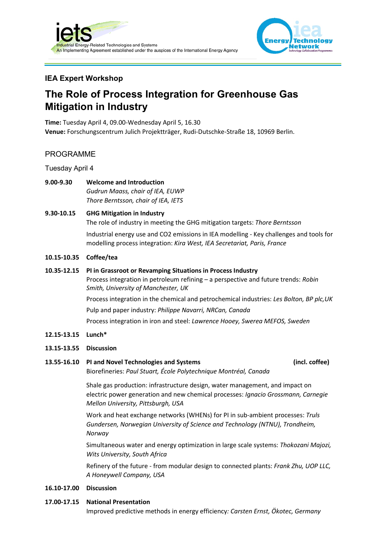



## **IEA Expert Workshop**

# **The Role of Process Integration for Greenhouse Gas Mitigation in Industry**

**Time:** Tuesday April 4, 09.00-Wednesday April 5, 16.30 **Venue:** Forschungscentrum Julich Projektträger, Rudi-Dutschke-Straße 18, 10969 Berlin.

## PROGRAMME

Tuesday April 4

**9.00-9.30 Welcome and Introduction** *Gudrun Maass, chair of IEA, EUWP*

*Thore Berntsson, chair of IEA, IETS*

## **9.30-10.15 GHG Mitigation in Industry**

The role of industry in meeting the GHG mitigation targets: *Thore Berntsson*

Industrial energy use and CO2 emissions in IEA modelling - Key challenges and tools for modelling process integration: *Kira West, IEA Secretariat, Paris, France*

**10.15-10.35 Coffee/tea**

#### **10.35-12.15 PI in Grassroot or Revamping Situations in Process Industry**

Process integration in petroleum refining – a perspective and future trends: *Robin Smith, University of Manchester, UK*

Process integration in the chemical and petrochemical industries: *Les Bolton, BP plc,UK* Pulp and paper industry: *Philippe Navarri, NRCan, Canada*

Process integration in iron and steel: *Lawrence Hooey, Swerea MEFOS, Sweden*

- **12.15-13.15 Lunch\***
- **13.15-13.55 Discussion**

## **13.55-16.10 PI and Novel Technologies and Systems (incl. coffee)**

Biorefineries: *Paul Stuart, École Polytechnique Montréal, Canada*

Shale gas production: infrastructure design, water management, and impact on electric power generation and new chemical processes: *Ignacio Grossmann, Carnegie Mellon University, Pittsburgh, USA*

Work and heat exchange networks (WHENs) for PI in sub-ambient processes: *Truls Gundersen, Norwegian University of Science and Technology (NTNU), Trondheim, Norway*

Simultaneous water and energy optimization in large scale systems: *Thokozani Majozi, Wits University, South Africa*

Refinery of the future - from modular design to connected plants: *Frank Zhu, UOP LLC, A Honeywell Company, USA*

#### **16.10-17.00 Discussion**

## **17.00-17.15 National Presentation**

Improved predictive methods in energy efficiency*: Carsten Ernst, Ökotec, Germany*